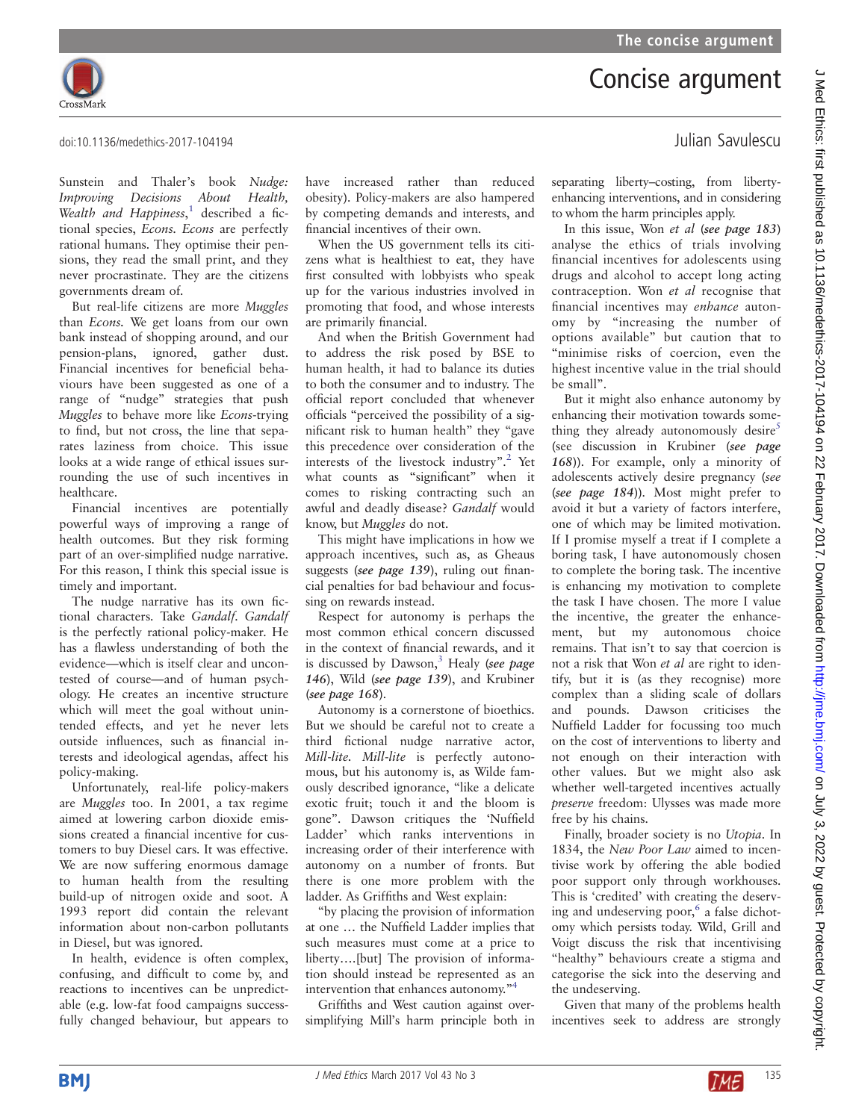Concise argument



doi:10.1136/medethics-2017-104194 Julian Savulescu

Sunstein and Thaler's book Nudge: Improving Decisions About Health, Wealth and Happiness,<sup>[1](#page-1-0)</sup> described a fictional species, Econs. Econs are perfectly rational humans. They optimise their pensions, they read the small print, and they never procrastinate. They are the citizens governments dream of.

But real-life citizens are more Muggles than Econs. We get loans from our own bank instead of shopping around, and our pension-plans, ignored, gather dust. Financial incentives for beneficial behaviours have been suggested as one of a range of "nudge" strategies that push Muggles to behave more like Econs-trying to find, but not cross, the line that separates laziness from choice. This issue looks at a wide range of ethical issues surrounding the use of such incentives in healthcare.

Financial incentives are potentially powerful ways of improving a range of health outcomes. But they risk forming part of an over-simplified nudge narrative. For this reason, I think this special issue is timely and important.

The nudge narrative has its own fictional characters. Take Gandalf. Gandalf is the perfectly rational policy-maker. He has a flawless understanding of both the evidence—which is itself clear and uncontested of course—and of human psychology. He creates an incentive structure which will meet the goal without unintended effects, and yet he never lets outside influences, such as financial interests and ideological agendas, affect his policy-making.

Unfortunately, real-life policy-makers are Muggles too. In 2001, a tax regime aimed at lowering carbon dioxide emissions created a financial incentive for customers to buy Diesel cars. It was effective. We are now suffering enormous damage to human health from the resulting build-up of nitrogen oxide and soot. A 1993 report did contain the relevant information about non-carbon pollutants in Diesel, but was ignored.

In health, evidence is often complex, confusing, and difficult to come by, and reactions to incentives can be unpredictable (e.g. low-fat food campaigns successfully changed behaviour, but appears to have increased rather than reduced obesity). Policy-makers are also hampered by competing demands and interests, and financial incentives of their own.

When the US government tells its citizens what is healthiest to eat, they have first consulted with lobbyists who speak up for the various industries involved in promoting that food, and whose interests are primarily financial.

And when the British Government had to address the risk posed by BSE to human health, it had to balance its duties to both the consumer and to industry. The official report concluded that whenever officials "perceived the possibility of a significant risk to human health" they "gave this precedence over consideration of the interests of the livestock industry". [2](#page-1-0) Yet what counts as "significant" when it comes to risking contracting such an awful and deadly disease? Gandalf would know, but Muggles do not.

This might have implications in how we approach incentives, such as, as Gheaus suggests (see page 139), ruling out financial penalties for bad behaviour and focussing on rewards instead.

Respect for autonomy is perhaps the most common ethical concern discussed in the context of financial rewards, and it is discussed by Dawson, $3$  Healy (see page 146), Wild (see page 139), and Krubiner (see page 168).

Autonomy is a cornerstone of bioethics. But we should be careful not to create a third fictional nudge narrative actor, Mill-lite. Mill-lite is perfectly autonomous, but his autonomy is, as Wilde famously described ignorance, "like a delicate exotic fruit; touch it and the bloom is gone". Dawson critiques the 'Nuffield Ladder' which ranks interventions in increasing order of their interference with autonomy on a number of fronts. But there is one more problem with the ladder. As Griffiths and West explain:

"by placing the provision of information at one … the Nuffield Ladder implies that such measures must come at a price to liberty….[but] The provision of information should instead be represented as an intervention that enhances autonomy."[4](#page-1-0)

Griffiths and West caution against oversimplifying Mill's harm principle both in separating liberty–costing, from libertyenhancing interventions, and in considering to whom the harm principles apply.

In this issue, Won et al (see page 183) analyse the ethics of trials involving financial incentives for adolescents using drugs and alcohol to accept long acting contraception. Won et al recognise that financial incentives may enhance autonomy by "increasing the number of options available" but caution that to "minimise risks of coercion, even the highest incentive value in the trial should be small".

But it might also enhance autonomy by enhancing their motivation towards some-thing they already autonomously desire<sup>[5](#page-1-0)</sup> (see discussion in Krubiner (see page 168)). For example, only a minority of adolescents actively desire pregnancy (see (see page 184)). Most might prefer to avoid it but a variety of factors interfere, one of which may be limited motivation. If I promise myself a treat if I complete a boring task, I have autonomously chosen to complete the boring task. The incentive is enhancing my motivation to complete the task I have chosen. The more I value the incentive, the greater the enhancement, but my autonomous choice remains. That isn't to say that coercion is not a risk that Won et al are right to identify, but it is (as they recognise) more complex than a sliding scale of dollars and pounds. Dawson criticises the Nuffield Ladder for focussing too much on the cost of interventions to liberty and not enough on their interaction with other values. But we might also ask whether well-targeted incentives actually preserve freedom: Ulysses was made more free by his chains.

Finally, broader society is no Utopia. In 1834, the New Poor Law aimed to incentivise work by offering the able bodied poor support only through workhouses. This is 'credited' with creating the deserv-ing and undeserving poor,<sup>[6](#page-1-0)</sup> a false dichotomy which persists today. Wild, Grill and Voigt discuss the risk that incentivising "healthy" behaviours create a stigma and categorise the sick into the deserving and the undeserving.

Given that many of the problems health incentives seek to address are strongly